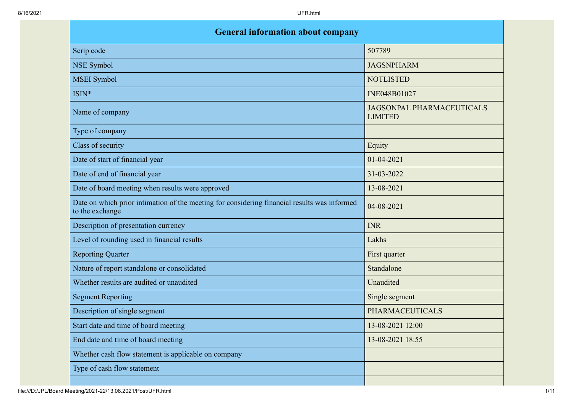| <b>General information about company</b>                                                                        |                                                    |  |  |
|-----------------------------------------------------------------------------------------------------------------|----------------------------------------------------|--|--|
| Scrip code                                                                                                      | 507789                                             |  |  |
| <b>NSE Symbol</b>                                                                                               | <b>JAGSNPHARM</b>                                  |  |  |
| <b>MSEI</b> Symbol                                                                                              | <b>NOTLISTED</b>                                   |  |  |
| ISIN*                                                                                                           | INE048B01027                                       |  |  |
| Name of company                                                                                                 | <b>JAGSONPAL PHARMACEUTICALS</b><br><b>LIMITED</b> |  |  |
| Type of company                                                                                                 |                                                    |  |  |
| Class of security                                                                                               | Equity                                             |  |  |
| Date of start of financial year                                                                                 | $01 - 04 - 2021$                                   |  |  |
| Date of end of financial year                                                                                   | 31-03-2022                                         |  |  |
| Date of board meeting when results were approved                                                                | 13-08-2021                                         |  |  |
| Date on which prior intimation of the meeting for considering financial results was informed<br>to the exchange | 04-08-2021                                         |  |  |
| Description of presentation currency                                                                            | <b>INR</b>                                         |  |  |
| Level of rounding used in financial results                                                                     | Lakhs                                              |  |  |
| <b>Reporting Quarter</b>                                                                                        | First quarter                                      |  |  |
| Nature of report standalone or consolidated                                                                     | Standalone                                         |  |  |
| Whether results are audited or unaudited                                                                        | Unaudited                                          |  |  |
| <b>Segment Reporting</b>                                                                                        | Single segment                                     |  |  |
| Description of single segment                                                                                   | <b>PHARMACEUTICALS</b>                             |  |  |
| Start date and time of board meeting                                                                            | 13-08-2021 12:00                                   |  |  |
| End date and time of board meeting                                                                              | 13-08-2021 18:55                                   |  |  |
| Whether cash flow statement is applicable on company                                                            |                                                    |  |  |
| Type of cash flow statement                                                                                     |                                                    |  |  |
|                                                                                                                 |                                                    |  |  |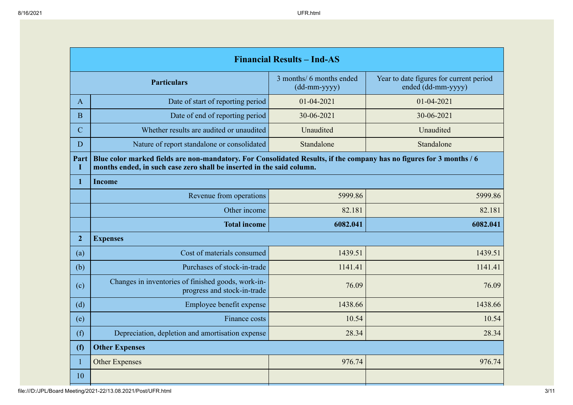| <b>Financial Results - Ind-AS</b> |                                                                                                                                                                                               |                                            |                                                               |
|-----------------------------------|-----------------------------------------------------------------------------------------------------------------------------------------------------------------------------------------------|--------------------------------------------|---------------------------------------------------------------|
| <b>Particulars</b>                |                                                                                                                                                                                               | 3 months/ 6 months ended<br>$(dd-mm-yyyy)$ | Year to date figures for current period<br>ended (dd-mm-yyyy) |
| $\mathbf{A}$                      | Date of start of reporting period                                                                                                                                                             | 01-04-2021                                 | $01 - 04 - 2021$                                              |
| B                                 | Date of end of reporting period                                                                                                                                                               | 30-06-2021                                 | 30-06-2021                                                    |
| $\mathbf C$                       | Whether results are audited or unaudited                                                                                                                                                      | Unaudited                                  | Unaudited                                                     |
| D                                 | Nature of report standalone or consolidated                                                                                                                                                   | Standalone                                 | Standalone                                                    |
| Part<br>I                         | Blue color marked fields are non-mandatory. For Consolidated Results, if the company has no figures for 3 months / 6<br>months ended, in such case zero shall be inserted in the said column. |                                            |                                                               |
| $\mathbf{1}$                      | <b>Income</b>                                                                                                                                                                                 |                                            |                                                               |
|                                   | Revenue from operations                                                                                                                                                                       | 5999.86                                    | 5999.86                                                       |
|                                   | Other income                                                                                                                                                                                  | 82.181                                     | 82.181                                                        |
|                                   | <b>Total income</b>                                                                                                                                                                           | 6082.041                                   | 6082.041                                                      |
| $\overline{2}$                    | <b>Expenses</b>                                                                                                                                                                               |                                            |                                                               |
| (a)                               | Cost of materials consumed                                                                                                                                                                    | 1439.51                                    | 1439.51                                                       |
| (b)                               | Purchases of stock-in-trade                                                                                                                                                                   | 1141.41                                    | 1141.41                                                       |
| (c)                               | Changes in inventories of finished goods, work-in-<br>progress and stock-in-trade                                                                                                             | 76.09                                      | 76.09                                                         |
| (d)                               | Employee benefit expense                                                                                                                                                                      | 1438.66                                    | 1438.66                                                       |
| (e)                               | Finance costs                                                                                                                                                                                 | 10.54                                      | 10.54                                                         |
| (f)                               | Depreciation, depletion and amortisation expense                                                                                                                                              | 28.34                                      | 28.34                                                         |
| (f)                               | <b>Other Expenses</b>                                                                                                                                                                         |                                            |                                                               |
| $\mathbf{1}$                      | <b>Other Expenses</b>                                                                                                                                                                         | 976.74                                     | 976.74                                                        |
| 10                                |                                                                                                                                                                                               |                                            |                                                               |

file:///D:/JPL/Board Meeting/2021-22/13.08.2021/Post/UFR.html 3/11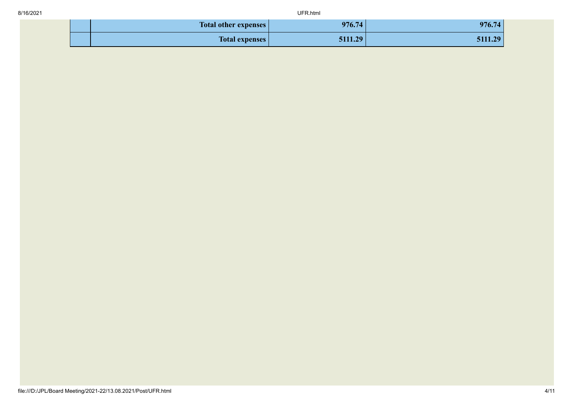| <b>Total other expenses</b> | 976.74  | 976.74         |
|-----------------------------|---------|----------------|
| <b>Total expenses</b>       | 5111.29 | 20<br>31.I.I.Z |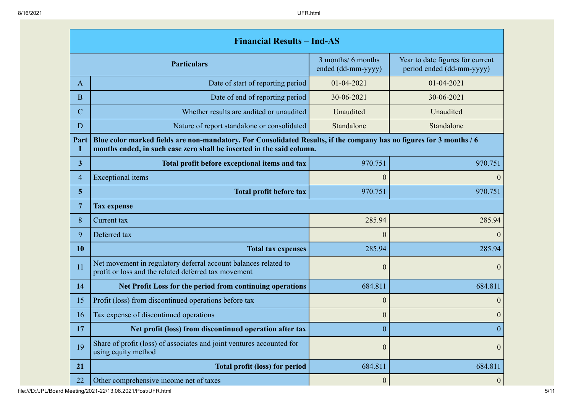|             | <b>Financial Results - Ind-AS</b>                                                                                                                                                             |                                                                                                           |                  |  |  |
|-------------|-----------------------------------------------------------------------------------------------------------------------------------------------------------------------------------------------|-----------------------------------------------------------------------------------------------------------|------------------|--|--|
|             | <b>Particulars</b>                                                                                                                                                                            | 3 months/ 6 months<br>Year to date figures for current<br>ended (dd-mm-yyyy)<br>period ended (dd-mm-yyyy) |                  |  |  |
| $\bf{A}$    | Date of start of reporting period                                                                                                                                                             | $01 - 04 - 2021$                                                                                          | 01-04-2021       |  |  |
| B           | Date of end of reporting period                                                                                                                                                               | 30-06-2021                                                                                                | 30-06-2021       |  |  |
| $\mathbf C$ | Whether results are audited or unaudited                                                                                                                                                      | Unaudited                                                                                                 | Unaudited        |  |  |
| D           | Nature of report standalone or consolidated                                                                                                                                                   | Standalone                                                                                                | Standalone       |  |  |
| Part<br>L   | Blue color marked fields are non-mandatory. For Consolidated Results, if the company has no figures for 3 months / 6<br>months ended, in such case zero shall be inserted in the said column. |                                                                                                           |                  |  |  |
| 3           | Total profit before exceptional items and tax                                                                                                                                                 | 970.751                                                                                                   | 970.751          |  |  |
| 4           | <b>Exceptional</b> items                                                                                                                                                                      | $\mathbf{0}$                                                                                              | $\theta$         |  |  |
| 5           | <b>Total profit before tax</b>                                                                                                                                                                | 970.751<br>970.751                                                                                        |                  |  |  |
| 7           | <b>Tax expense</b>                                                                                                                                                                            |                                                                                                           |                  |  |  |
| 8           | Current tax                                                                                                                                                                                   | 285.94                                                                                                    |                  |  |  |
| 9           | Deferred tax                                                                                                                                                                                  | $\theta$                                                                                                  | $\theta$         |  |  |
| 10          | <b>Total tax expenses</b>                                                                                                                                                                     | 285.94                                                                                                    | 285.94           |  |  |
| 11          | Net movement in regulatory deferral account balances related to<br>profit or loss and the related deferred tax movement                                                                       | $\mathbf{0}$                                                                                              | $\overline{0}$   |  |  |
| 14          | Net Profit Loss for the period from continuing operations                                                                                                                                     | 684.811                                                                                                   | 684.811          |  |  |
| 15          | Profit (loss) from discontinued operations before tax                                                                                                                                         | $\boldsymbol{0}$                                                                                          | $\theta$         |  |  |
| 16          | Tax expense of discontinued operations                                                                                                                                                        | $\boldsymbol{0}$                                                                                          | $\boldsymbol{0}$ |  |  |
| 17          | Net profit (loss) from discontinued operation after tax                                                                                                                                       | $\boldsymbol{0}$                                                                                          | $\boldsymbol{0}$ |  |  |
| 19          | Share of profit (loss) of associates and joint ventures accounted for<br>using equity method                                                                                                  | $\boldsymbol{0}$                                                                                          | $\mathbf{0}$     |  |  |
| 21          | <b>Total profit (loss) for period</b>                                                                                                                                                         | 684.811                                                                                                   | 684.811          |  |  |
| 22          | Other comprehensive income net of taxes                                                                                                                                                       | $\boldsymbol{0}$                                                                                          | 0                |  |  |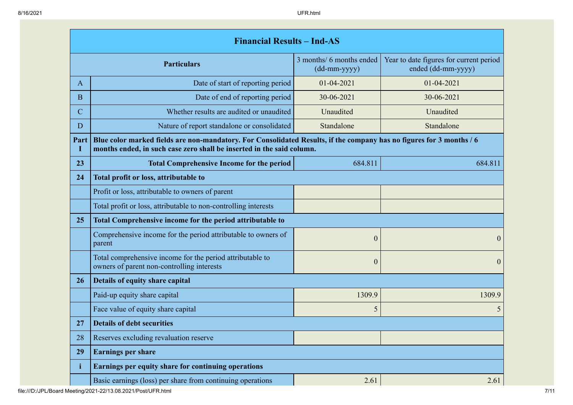|                                              | <b>Financial Results - Ind-AS</b>                                                                                                                                                             |                                          |                                                               |  |  |
|----------------------------------------------|-----------------------------------------------------------------------------------------------------------------------------------------------------------------------------------------------|------------------------------------------|---------------------------------------------------------------|--|--|
|                                              | <b>Particulars</b>                                                                                                                                                                            | 3 months/ 6 months ended<br>(dd-mm-yyyy) | Year to date figures for current period<br>ended (dd-mm-yyyy) |  |  |
| $\bf{A}$                                     | Date of start of reporting period                                                                                                                                                             | $01 - 04 - 2021$                         | 01-04-2021                                                    |  |  |
| B                                            | Date of end of reporting period                                                                                                                                                               | 30-06-2021                               | 30-06-2021                                                    |  |  |
| $\mathcal{C}$                                | Whether results are audited or unaudited                                                                                                                                                      | Unaudited                                | Unaudited                                                     |  |  |
| D                                            | Nature of report standalone or consolidated                                                                                                                                                   | Standalone                               | Standalone                                                    |  |  |
| Part                                         | Blue color marked fields are non-mandatory. For Consolidated Results, if the company has no figures for 3 months / 6<br>months ended, in such case zero shall be inserted in the said column. |                                          |                                                               |  |  |
| 23                                           | <b>Total Comprehensive Income for the period</b>                                                                                                                                              | 684.811                                  | 684.811                                                       |  |  |
| 24                                           | Total profit or loss, attributable to                                                                                                                                                         |                                          |                                                               |  |  |
|                                              | Profit or loss, attributable to owners of parent                                                                                                                                              |                                          |                                                               |  |  |
|                                              | Total profit or loss, attributable to non-controlling interests                                                                                                                               |                                          |                                                               |  |  |
| 25                                           | Total Comprehensive income for the period attributable to                                                                                                                                     |                                          |                                                               |  |  |
|                                              | Comprehensive income for the period attributable to owners of<br>parent                                                                                                                       | $\boldsymbol{0}$                         | $\Omega$                                                      |  |  |
|                                              | Total comprehensive income for the period attributable to<br>owners of parent non-controlling interests                                                                                       | $\overline{0}$                           | $\boldsymbol{0}$                                              |  |  |
| 26                                           | Details of equity share capital                                                                                                                                                               |                                          |                                                               |  |  |
|                                              | Paid-up equity share capital                                                                                                                                                                  | 1309.9                                   | 1309.9                                                        |  |  |
|                                              | Face value of equity share capital                                                                                                                                                            | 5                                        | 5                                                             |  |  |
| 27                                           | <b>Details of debt securities</b>                                                                                                                                                             |                                          |                                                               |  |  |
| Reserves excluding revaluation reserve<br>28 |                                                                                                                                                                                               |                                          |                                                               |  |  |
| 29                                           | <b>Earnings per share</b>                                                                                                                                                                     |                                          |                                                               |  |  |
| i                                            | Earnings per equity share for continuing operations                                                                                                                                           |                                          |                                                               |  |  |
|                                              | Basic earnings (loss) per share from continuing operations                                                                                                                                    | 2.61                                     | 2.61                                                          |  |  |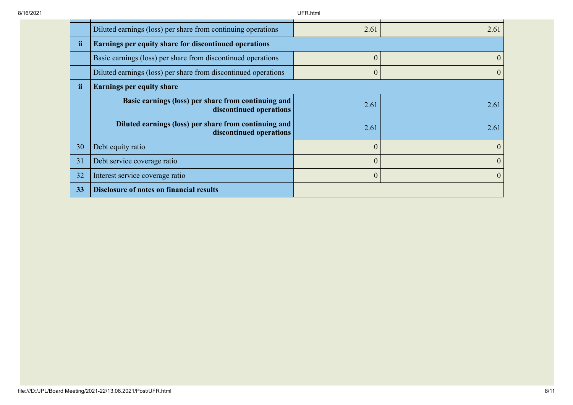|    | Diluted earnings (loss) per share from continuing operations                     | 2.61         | 2.61     |
|----|----------------------------------------------------------------------------------|--------------|----------|
| ii | Earnings per equity share for discontinued operations                            |              |          |
|    | Basic earnings (loss) per share from discontinued operations                     | $\mathbf{0}$ | $\theta$ |
|    | Diluted earnings (loss) per share from discontinued operations                   | $\mathbf{0}$ | $\theta$ |
| ii | <b>Earnings per equity share</b>                                                 |              |          |
|    | Basic earnings (loss) per share from continuing and<br>discontinued operations   | 2.61         | 2.61     |
|    | Diluted earnings (loss) per share from continuing and<br>discontinued operations | 2.61         | 2.61     |
| 30 | Debt equity ratio                                                                | $\mathbf{0}$ | $\theta$ |
| 31 | Debt service coverage ratio                                                      | $\theta$     | $\theta$ |
| 32 | Interest service coverage ratio                                                  | $\mathbf{0}$ | $\Omega$ |
| 33 | <b>Disclosure of notes on financial results</b>                                  |              |          |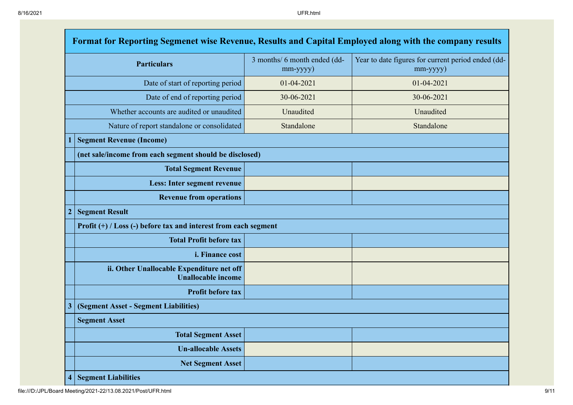| Format for Reporting Segmenet wise Revenue, Results and Capital Employed along with the company results |                                                                        |                                          |                                                                |  |  |
|---------------------------------------------------------------------------------------------------------|------------------------------------------------------------------------|------------------------------------------|----------------------------------------------------------------|--|--|
| <b>Particulars</b>                                                                                      |                                                                        | 3 months/ 6 month ended (dd-<br>mm-yyyy) | Year to date figures for current period ended (dd-<br>mm-yyyy) |  |  |
| Date of start of reporting period                                                                       |                                                                        | 01-04-2021                               | $01 - 04 - 2021$                                               |  |  |
|                                                                                                         | Date of end of reporting period                                        | 30-06-2021                               | 30-06-2021                                                     |  |  |
|                                                                                                         | Whether accounts are audited or unaudited                              | Unaudited                                | Unaudited                                                      |  |  |
|                                                                                                         | Nature of report standalone or consolidated                            | Standalone                               | Standalone                                                     |  |  |
|                                                                                                         | <b>Segment Revenue (Income)</b>                                        |                                          |                                                                |  |  |
|                                                                                                         | (net sale/income from each segment should be disclosed)                |                                          |                                                                |  |  |
|                                                                                                         | <b>Total Segment Revenue</b>                                           |                                          |                                                                |  |  |
|                                                                                                         | Less: Inter segment revenue                                            |                                          |                                                                |  |  |
|                                                                                                         | <b>Revenue from operations</b>                                         |                                          |                                                                |  |  |
| $\overline{\mathbf{c}}$                                                                                 | <b>Segment Result</b>                                                  |                                          |                                                                |  |  |
|                                                                                                         | Profit (+) / Loss (-) before tax and interest from each segment        |                                          |                                                                |  |  |
|                                                                                                         | <b>Total Profit before tax</b>                                         |                                          |                                                                |  |  |
|                                                                                                         | i. Finance cost                                                        |                                          |                                                                |  |  |
|                                                                                                         | ii. Other Unallocable Expenditure net off<br><b>Unallocable income</b> |                                          |                                                                |  |  |
|                                                                                                         | Profit before tax                                                      |                                          |                                                                |  |  |
| $\overline{\mathbf{3}}$                                                                                 | (Segment Asset - Segment Liabilities)                                  |                                          |                                                                |  |  |
|                                                                                                         | <b>Segment Asset</b>                                                   |                                          |                                                                |  |  |
|                                                                                                         | <b>Total Segment Asset</b>                                             |                                          |                                                                |  |  |
|                                                                                                         | <b>Un-allocable Assets</b>                                             |                                          |                                                                |  |  |
|                                                                                                         | <b>Net Segment Asset</b>                                               |                                          |                                                                |  |  |
| $\overline{\mathbf{4}}$                                                                                 | <b>Segment Liabilities</b>                                             |                                          |                                                                |  |  |

file:///D:/JPL/Board Meeting/2021-22/13.08.2021/Post/UFR.html 9/11